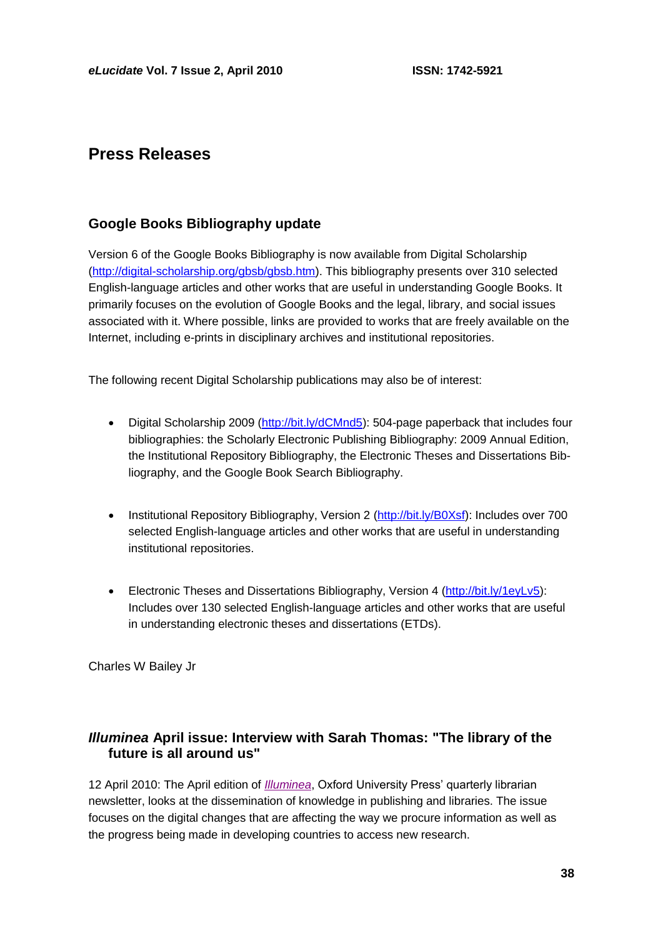# **Press Releases**

## **Google Books Bibliography update**

Version 6 of the Google Books Bibliography is now available from Digital Scholarship [\(http://digital-scholarship.org/gbsb/gbsb.htm\)](http://digital-scholarship.org/gbsb/gbsb.htm). This bibliography presents over 310 selected English-language articles and other works that are useful in understanding Google Books. It primarily focuses on the evolution of Google Books and the legal, library, and social issues associated with it. Where possible, links are provided to works that are freely available on the Internet, including e-prints in disciplinary archives and institutional repositories.

The following recent Digital Scholarship publications may also be of interest:

- Digital Scholarship 2009 [\(http://bit.ly/dCMnd5\)](http://bit.ly/dCMnd5): 504-page paperback that includes four bibliographies: the Scholarly Electronic Publishing Bibliography: 2009 Annual Edition, the Institutional Repository Bibliography, the Electronic Theses and Dissertations Bibliography, and the Google Book Search Bibliography.
- Institutional Repository Bibliography, Version 2 [\(http://bit.ly/B0Xsf\)](http://bit.ly/B0Xsf): Includes over 700 selected English-language articles and other works that are useful in understanding institutional repositories.
- Electronic Theses and Dissertations Bibliography, Version 4 [\(http://bit.ly/1eyLv5\)](http://bit.ly/1eyLv5): Includes over 130 selected English-language articles and other works that are useful in understanding electronic theses and dissertations (ETDs).

Charles W Bailey Jr

# *Illuminea* **April issue: Interview with Sarah Thomas: "The library of the future is all around us"**

12 April 2010: The April edition of *[Illuminea](http://issuu.com/oxfordjournals/docs/illuminea_april_2010)*, Oxford University Press' quarterly librarian newsletter, looks at the dissemination of knowledge in publishing and libraries. The issue focuses on the digital changes that are affecting the way we procure information as well as the progress being made in developing countries to access new research.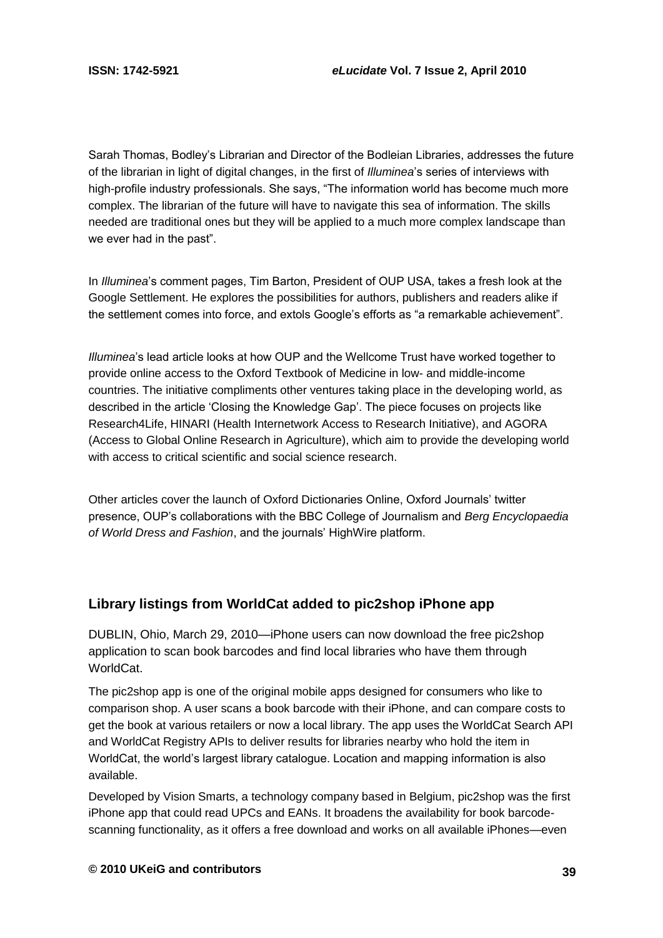Sarah Thomas, Bodley's Librarian and Director of the Bodleian Libraries, addresses the future of the librarian in light of digital changes, in the first of *Illuminea*'s series of interviews with high-profile industry professionals. She says, "The information world has become much more complex. The librarian of the future will have to navigate this sea of information. The skills needed are traditional ones but they will be applied to a much more complex landscape than we ever had in the past".

In *Illuminea*'s comment pages, Tim Barton, President of OUP USA, takes a fresh look at the Google Settlement. He explores the possibilities for authors, publishers and readers alike if the settlement comes into force, and extols Google's efforts as "a remarkable achievement".

*Illuminea*'s lead article looks at how OUP and the Wellcome Trust have worked together to provide online access to the Oxford Textbook of Medicine in low- and middle-income countries. The initiative compliments other ventures taking place in the developing world, as described in the article 'Closing the Knowledge Gap'. The piece focuses on projects like Research4Life, HINARI (Health Internetwork Access to Research Initiative), and AGORA (Access to Global Online Research in Agriculture), which aim to provide the developing world with access to critical scientific and social science research.

Other articles cover the launch of Oxford Dictionaries Online, Oxford Journals' twitter presence, OUP's collaborations with the BBC College of Journalism and *Berg Encyclopaedia of World Dress and Fashion*, and the journals' HighWire platform.

# **Library listings from WorldCat added to pic2shop iPhone app**

DUBLIN, Ohio, March 29, 2010—iPhone users can now download the free pic2shop application to scan book barcodes and find local libraries who have them through WorldCat.

The pic2shop app is one of the original mobile apps designed for consumers who like to comparison shop. A user scans a book barcode with their iPhone, and can compare costs to get the book at various retailers or now a local library. The app uses the WorldCat Search API and WorldCat Registry APIs to deliver results for libraries nearby who hold the item in WorldCat, the world's largest library catalogue. Location and mapping information is also available.

Developed by Vision Smarts, a technology company based in Belgium, pic2shop was the first iPhone app that could read UPCs and EANs. It broadens the availability for book barcodescanning functionality, as it offers a free download and works on all available iPhones—even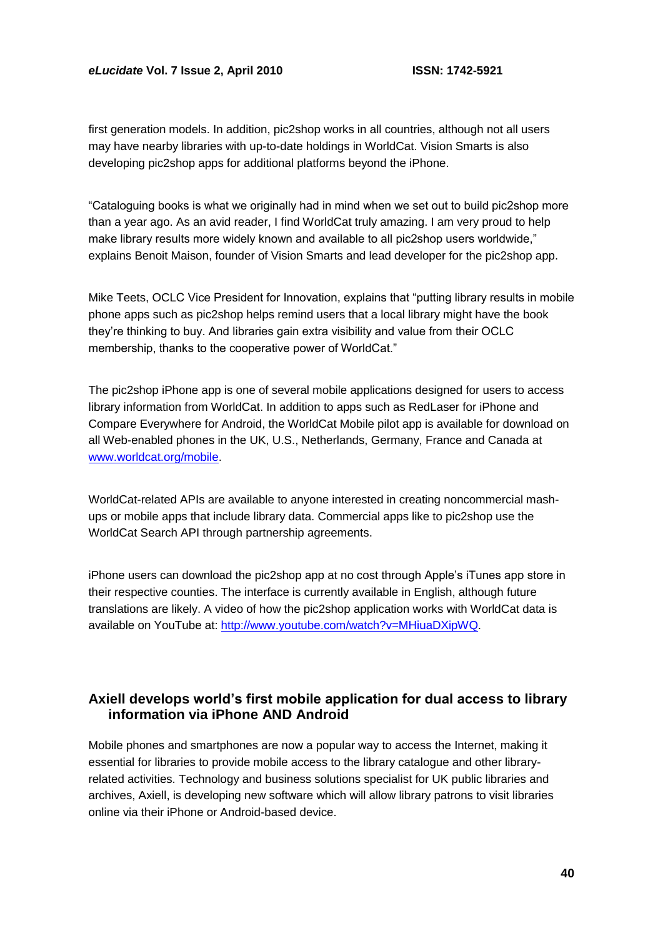first generation models. In addition, pic2shop works in all countries, although not all users may have nearby libraries with up-to-date holdings in WorldCat. Vision Smarts is also developing pic2shop apps for additional platforms beyond the iPhone.

―Cataloguing books is what we originally had in mind when we set out to build pic2shop more than a year ago. As an avid reader, I find WorldCat truly amazing. I am very proud to help make library results more widely known and available to all pic2shop users worldwide," explains Benoit Maison, founder of Vision Smarts and lead developer for the pic2shop app.

Mike Teets, OCLC Vice President for Innovation, explains that "putting library results in mobile phone apps such as pic2shop helps remind users that a local library might have the book they're thinking to buy. And libraries gain extra visibility and value from their OCLC membership, thanks to the cooperative power of WorldCat."

The pic2shop iPhone app is one of several mobile applications designed for users to access library information from WorldCat. In addition to apps such as RedLaser for iPhone and Compare Everywhere for Android, the WorldCat Mobile pilot app is available for download on all Web-enabled phones in the UK, U.S., Netherlands, Germany, France and Canada at [www.worldcat.org/mobile.](http://www.worldcat.org/mobile)

WorldCat-related APIs are available to anyone interested in creating noncommercial mashups or mobile apps that include library data. Commercial apps like to pic2shop use the WorldCat Search API through partnership agreements.

iPhone users can download the pic2shop app at no cost through Apple's iTunes app store in their respective counties. The interface is currently available in English, although future translations are likely. A video of how the pic2shop application works with WorldCat data is available on YouTube at: [http://www.youtube.com/watch?v=MHiuaDXipWQ.](http://www.youtube.com/watch?v=MHiuaDXipWQ)

### **Axiell develops world's first mobile application for dual access to library information via iPhone AND Android**

Mobile phones and smartphones are now a popular way to access the Internet, making it essential for libraries to provide mobile access to the library catalogue and other libraryrelated activities. Technology and business solutions specialist for UK public libraries and archives, Axiell, is developing new software which will allow library patrons to visit libraries online via their iPhone or Android-based device.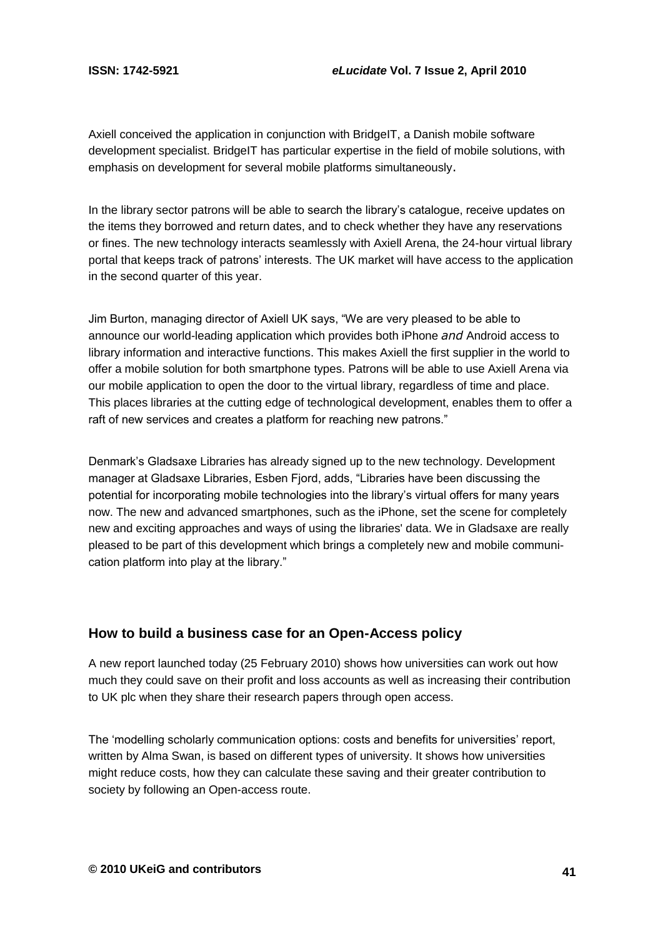Axiell conceived the application in conjunction with BridgeIT, a Danish mobile software development specialist. BridgeIT has particular expertise in the field of mobile solutions, with emphasis on development for several mobile platforms simultaneously.

In the library sector patrons will be able to search the library's catalogue, receive updates on the items they borrowed and return dates, and to check whether they have any reservations or fines. The new technology interacts seamlessly with Axiell Arena, the 24-hour virtual library portal that keeps track of patrons' interests. The UK market will have access to the application in the second quarter of this year.

Jim Burton, managing director of Axiell UK says, "We are very pleased to be able to announce our world-leading application which provides both iPhone *and* Android access to library information and interactive functions. This makes Axiell the first supplier in the world to offer a mobile solution for both smartphone types. Patrons will be able to use Axiell Arena via our mobile application to open the door to the virtual library, regardless of time and place. This places libraries at the cutting edge of technological development, enables them to offer a raft of new services and creates a platform for reaching new patrons."

Denmark's Gladsaxe Libraries has already signed up to the new technology. Development manager at Gladsaxe Libraries, Esben Fjord, adds, "Libraries have been discussing the potential for incorporating mobile technologies into the library's virtual offers for many years now. The new and advanced smartphones, such as the iPhone, set the scene for completely new and exciting approaches and ways of using the libraries' data. We in Gladsaxe are really pleased to be part of this development which brings a completely new and mobile communication platform into play at the library."

#### **How to build a business case for an Open-Access policy**

A new report launched today (25 February 2010) shows how universities can work out how much they could save on their profit and loss accounts as well as increasing their contribution to UK plc when they share their research papers through open access.

The 'modelling scholarly communication options: costs and benefits for universities' report, written by Alma Swan, is based on different types of university. It shows how universities might reduce costs, how they can calculate these saving and their greater contribution to society by following an Open-access route.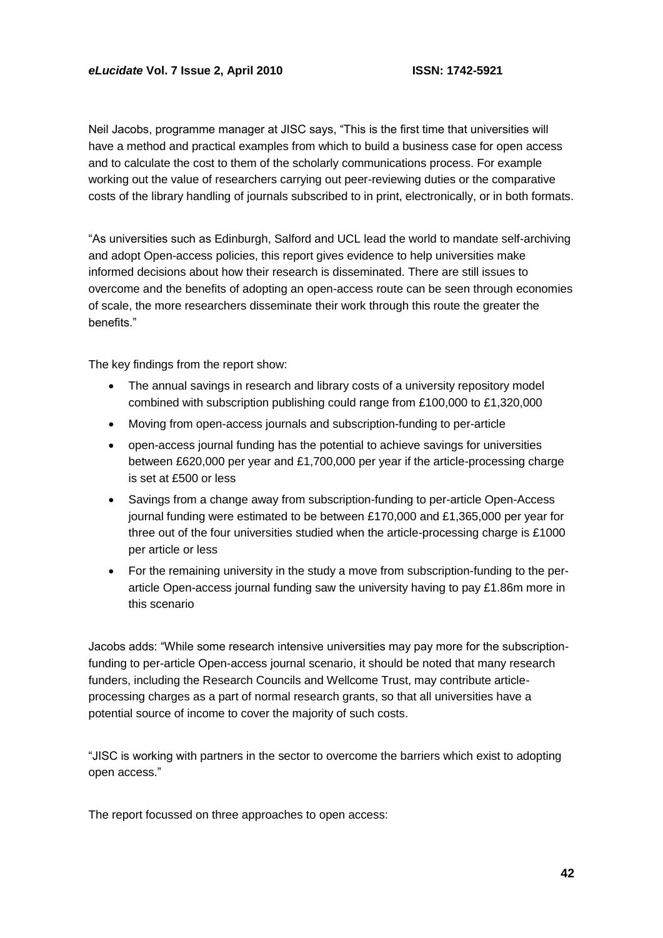Neil Jacobs, programme manager at JISC says, "This is the first time that universities will have a method and practical examples from which to build a business case for open access and to calculate the cost to them of the scholarly communications process. For example working out the value of researchers carrying out peer-reviewing duties or the comparative costs of the library handling of journals subscribed to in print, electronically, or in both formats.

"As universities such as Edinburgh, Salford and UCL lead the world to mandate self-archiving and adopt Open-access policies, this report gives evidence to help universities make informed decisions about how their research is disseminated. There are still issues to overcome and the benefits of adopting an open-access route can be seen through economies of scale, the more researchers disseminate their work through this route the greater the benefits."

The key findings from the report show:

- The annual savings in research and library costs of a university repository model combined with subscription publishing could range from £100,000 to £1,320,000
- Moving from open-access journals and subscription-funding to per-article
- open-access journal funding has the potential to achieve savings for universities between £620,000 per year and £1,700,000 per year if the article-processing charge is set at £500 or less
- Savings from a change away from subscription-funding to per-article Open-Access journal funding were estimated to be between £170,000 and £1,365,000 per year for three out of the four universities studied when the article-processing charge is £1000 per article or less
- For the remaining university in the study a move from subscription-funding to the perarticle Open-access journal funding saw the university having to pay £1.86m more in this scenario

Jacobs adds: "While some research intensive universities may pay more for the subscriptionfunding to per-article Open-access journal scenario, it should be noted that many research funders, including the Research Councils and Wellcome Trust, may contribute articleprocessing charges as a part of normal research grants, so that all universities have a potential source of income to cover the majority of such costs.

―JISC is working with partners in the sector to overcome the barriers which exist to adopting open access."

The report focussed on three approaches to open access: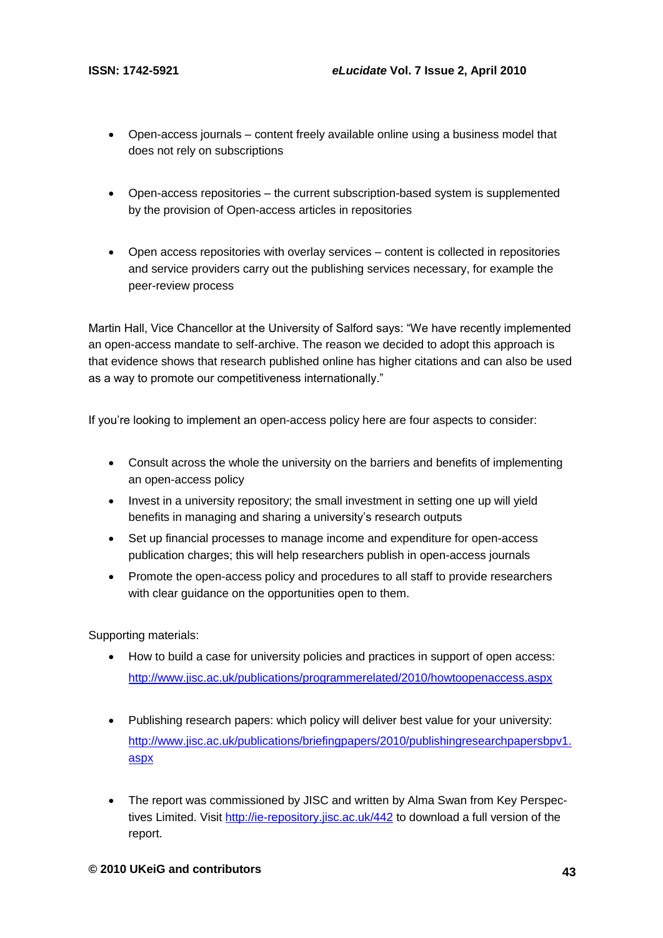- Open-access journals content freely available online using a business model that does not rely on subscriptions
- Open-access repositories the current subscription-based system is supplemented by the provision of Open-access articles in repositories
- Open access repositories with overlay services content is collected in repositories and service providers carry out the publishing services necessary, for example the peer-review process

Martin Hall, Vice Chancellor at the University of Salford says: "We have recently implemented an open-access mandate to self-archive. The reason we decided to adopt this approach is that evidence shows that research published online has higher citations and can also be used as a way to promote our competitiveness internationally."

If you're looking to implement an open-access policy here are four aspects to consider:

- Consult across the whole the university on the barriers and benefits of implementing an open-access policy
- Invest in a university repository; the small investment in setting one up will yield benefits in managing and sharing a university's research outputs
- Set up financial processes to manage income and expenditure for open-access publication charges; this will help researchers publish in open-access journals
- Promote the open-access policy and procedures to all staff to provide researchers with clear guidance on the opportunities open to them.

Supporting materials:

- How to build a case for university policies and practices in support of open access: <http://www.jisc.ac.uk/publications/programmerelated/2010/howtoopenaccess.aspx>
- Publishing research papers: which policy will deliver best value for your university: [http://www.jisc.ac.uk/publications/briefingpapers/2010/publishingresearchpapersbpv1.](http://www.jisc.ac.uk/publications/briefingpapers/2010/publishingresearchpapersbpv1.aspx) [aspx](http://www.jisc.ac.uk/publications/briefingpapers/2010/publishingresearchpapersbpv1.aspx)
- The report was commissioned by JISC and written by Alma Swan from Key Perspectives Limited. Visit<http://ie-repository.jisc.ac.uk/442> to download a full version of the report.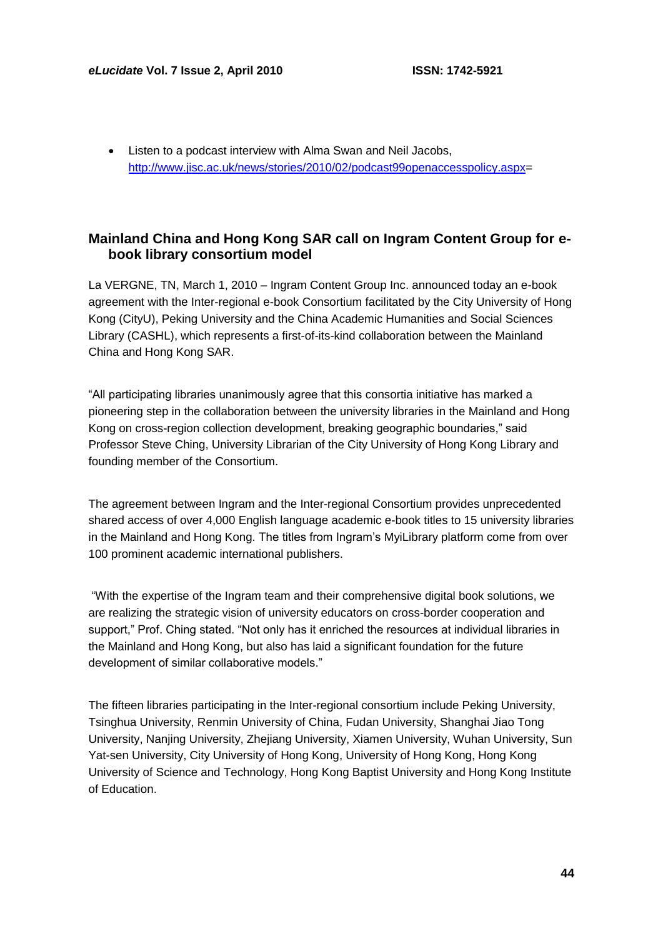Listen to a podcast interview with Alma Swan and Neil Jacobs, [http://www.jisc.ac.uk/news/stories/2010/02/podcast99openaccesspolicy.aspx=](http://www.jisc.ac.uk/news/stories/2010/02/podcast99openaccesspolicy.aspx)

## **Mainland China and Hong Kong SAR call on Ingram Content Group for ebook library consortium model**

La VERGNE, TN, March 1, 2010 – Ingram Content Group Inc. announced today an e-book agreement with the Inter-regional e-book Consortium facilitated by the City University of Hong Kong (CityU), Peking University and the China Academic Humanities and Social Sciences Library (CASHL), which represents a first-of-its-kind collaboration between the Mainland China and Hong Kong SAR.

―All participating libraries unanimously agree that this consortia initiative has marked a pioneering step in the collaboration between the university libraries in the Mainland and Hong Kong on cross-region collection development, breaking geographic boundaries," said Professor Steve Ching, University Librarian of the City University of Hong Kong Library and founding member of the Consortium.

The agreement between Ingram and the Inter-regional Consortium provides unprecedented shared access of over 4,000 English language academic e-book titles to 15 university libraries in the Mainland and Hong Kong. The titles from Ingram's MyiLibrary platform come from over 100 prominent academic international publishers.

―With the expertise of the Ingram team and their comprehensive digital book solutions, we are realizing the strategic vision of university educators on cross-border cooperation and support," Prof. Ching stated. "Not only has it enriched the resources at individual libraries in the Mainland and Hong Kong, but also has laid a significant foundation for the future development of similar collaborative models."

The fifteen libraries participating in the Inter-regional consortium include Peking University, Tsinghua University, Renmin University of China, Fudan University, Shanghai Jiao Tong University, Nanjing University, Zhejiang University, Xiamen University, Wuhan University, Sun Yat-sen University, City University of Hong Kong, University of Hong Kong, Hong Kong University of Science and Technology, Hong Kong Baptist University and Hong Kong Institute of Education.